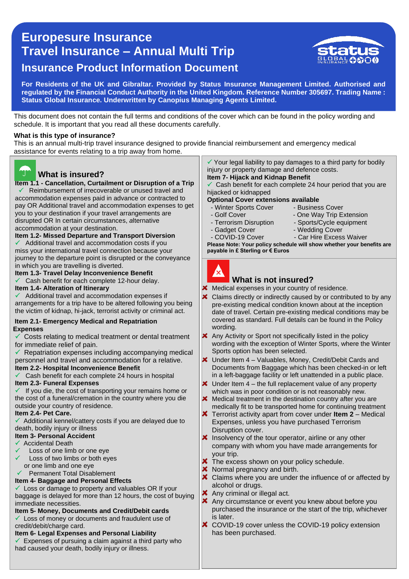# 0 **Travel Insurance – Annual Multi Trip Europesure Insurance Insurance Product Information Document**



**For Residents of the UK and Gibraltar. Provided by Status Insurance Management Limited. Authorised and regulated by the Financial Conduct Authority in the United Kingdom. Reference Number 305697. Trading Name : Status Global Insurance. Underwritten by Canopius Managing Agents Limited.** 

This document does not contain the full terms and conditions of the cover which can be found in the policy wording and schedule. It is important that you read all these documents carefully.

### **What is this type of insurance?**

This is an annual multi-trip travel insurance designed to provide financial reimbursement and emergency medical assistance for events relating to a trip away from home.



# **What is insured?**

 **Item 1.1 - Cancellation, Curtailment or Disruption of a Trip** you to your destination if your travel arrangements are  Reimbursement of irrecoverable or unused travel and accommodation expenses paid in advance or contracted to pay OR Additional travel and accommodation expenses to get disrupted OR In certain circumstances, *a*lternative accommodation at your destination.

**Item 1.2- Missed Departure and Transport Diversion**

 Additional travel and accommodation costs if you miss your international travel connection because your journey to the departure point is disrupted or the conveyance in which you are travelling is diverted.

### **Item 1.3- Travel Delay Inconvenience Benefit**

 $\checkmark$  Cash benefit for each complete 12-hour delay.

### **Item 1.4- Alteration of Itinerary**

 $\checkmark$  Additional travel and accommodation expenses if arrangements for a trip have to be altered following you being the victim of kidnap, hi-jack, terrorist activity or criminal act.

#### **Item 2.1- Emergency Medical and Repatriation Expenses**

 $\checkmark$  Costs relating to medical treatment or dental treatment for immediate relief of pain.

 $\checkmark$  Repatriation expenses including accompanying medical personnel and travel and accommodation for a relative. **Item 2.2- Hospital Inconvenience Benefit**

Cash benefit for each complete 24 hours in hospital

### **Item 2.3- Funeral Expenses**

 $\checkmark$  If you die, the cost of transporting your remains home or the cost of a funeral/cremation in the country where you die outside your country of residence.

#### **Item 2.4- Pet Care.**

 Additional kennel/cattery costs if you are delayed due to death, bodily injury or illness

### **Item 3- Personal Accident**

- Accidental Death
- Loss of one limb or one eye
- Loss of two limbs *or* both eyes or one limb and one eye

# Permanent Total Disablement

# **Item 4- Baggage and Personal Effects**

Loss or damage to property and valuables OR If your baggage is delayed for more than 12 hours, the cost of buying immediate necessities.

# **Item 5- Money, Documents and Credit/Debit cards**

Loss of money or documents and fraudulent use of credit/debit/charge card.

### **Item 6- Legal Expenses and Personal Liability**

Expenses of pursuing a claim against a third party who had caused your death, bodily injury or illness.

 $\checkmark$  Your legal liability to pay damages to a third party for bodily injury or property damage and defence costs. **Item 7- Hijack and Kidnap Benefit**

### Cash benefit for each complete 24 hour period that you are hijacked or kidnapped

**Optional Cover extensions available**

- Winter Sports Cover Business Cover<br>- Golf Cover One Way Trip E
- 
- Terrorism Disruption Sports/Cycle equipment
	-

- One Way Trip Extension

- Gadget Cover Wedding Cover
- COVID-19 Cover Car Hire Excess Waiver

**Please Note: Your policy schedule will show whether your benefits are payable in £ Sterling or € Euros**



# **What is not insured?**

Medical expenses in your country of residence.

- × Claims directly or indirectly caused by or contributed to by any pre-existing medical condition known about at the inception date of travel. Certain pre-existing medical conditions may be covered as standard. Full details can be found in the Policy wording.
- Any Activity or Sport not specifically listed in the policy wording with the exception of Winter Sports, where the Winter Sports option has been selected.
- Under Item 4 Valuables, Money, Credit/Debit Cards and Documents from Baggage which has been checked-in or left in a left-baggage facility or left unattended in a public place.
- $\star$  Under Item 4 the full replacement value of any property which was in poor condition or is not reasonably new.
- $\boldsymbol{\times}$  Medical treatment in the destination country after you are medically fit to be transported home for continuing treatment
- Terrorist activity apart from cover under **Item 2** Medical Expenses, unless you have purchased Terrorism Disruption cover.
- $\boldsymbol{\times}$  Insolvency of the tour operator, airline or any other company with whom you have made arrangements for your trip.
- **X** The excess shown on your policy schedule.
- **X** Normal pregnancy and birth.
- X Claims where you are under the influence of or affected by alcohol or drugs.
- **X** Any criminal or illegal act.
- **X** Any circumstance or event you knew about before you purchased the insurance or the start of the trip, whichever is later.
- COVID-19 cover unless the COVID-19 policy extension has been purchased.